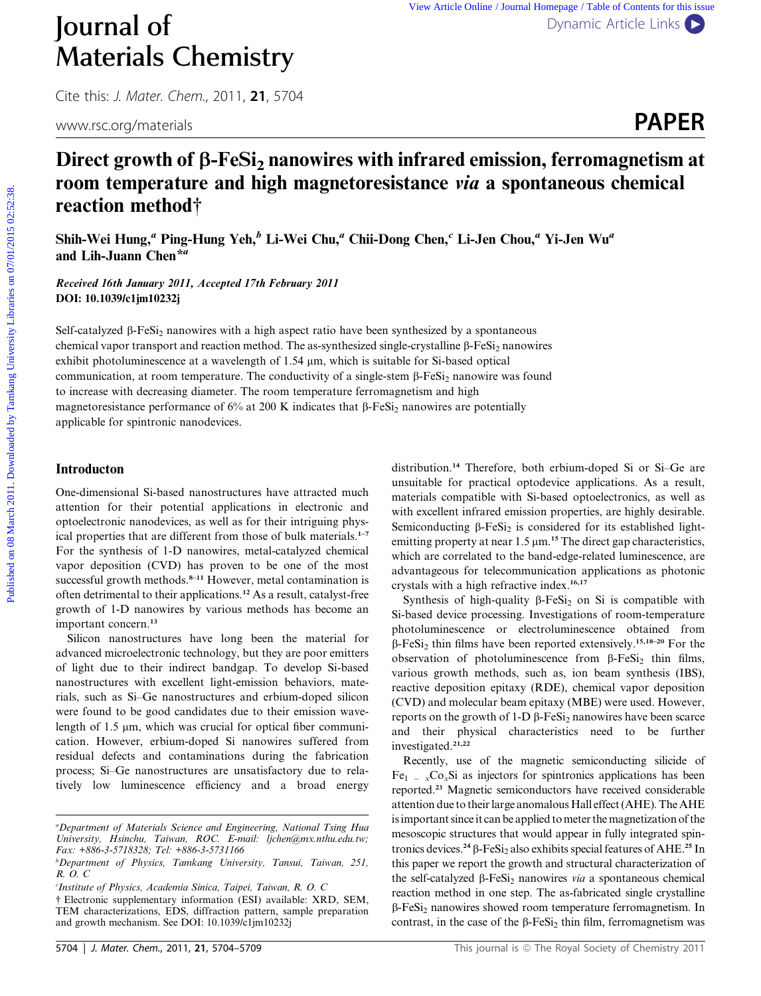# Journal of [Dynamic Article Links](http://dx.doi.org/10.1039/c1jm10232j) Materials Chemistry

Cite this: J. Mater. Chem., 2011, <sup>21</sup>, 5704



# Direct growth of  $\beta$ -FeSi<sub>2</sub> nanowires with infrared emission, ferromagnetism at room temperature and high magnetoresistance via a spontaneous chemical reaction method†

Shih-Wei Hung,<sup>a</sup> Ping-Hung Yeh,<sup>b</sup> Li-Wei Chu,<sup>a</sup> Chii-Dong Chen,<sup>c</sup> Li-Jen Chou,<sup>a</sup> Yi-Jen Wu<sup>a</sup> and Lih-Juann Chen<sup>\*a</sup>

Received 16th January 2011, Accepted 17th February 2011 DOI: 10.1039/c1jm10232j

Self-catalyzed  $\beta$ -FeSi<sub>2</sub> nanowires with a high aspect ratio have been synthesized by a spontaneous chemical vapor transport and reaction method. The as-synthesized single-crystalline  $\beta$ -FeSi<sub>2</sub> nanowires exhibit photoluminescence at a wavelength of  $1.54 \mu m$ , which is suitable for Si-based optical communication, at room temperature. The conductivity of a single-stem  $\beta$ -FeSi<sub>2</sub> nanowire was found to increase with decreasing diameter. The room temperature ferromagnetism and high magnetoresistance performance of 6% at 200 K indicates that  $\beta$ -FeSi<sub>2</sub> nanowires are potentially applicable for spintronic nanodevices. **Published on 1998** We which by the symple Clysteric details and **PAPER**<br>
Direct growth of  $\beta$ -FeSI<sub>2</sub> manowires with infrared emission, ferromagnetism at<br> **Direct growth of**  $\beta$ **-FeSI<sub>2</sub> manowires with infrared emission,** 

#### Introducton

One-dimensional Si-based nanostructures have attracted much attention for their potential applications in electronic and optoelectronic nanodevices, as well as for their intriguing physical properties that are different from those of bulk materials.<sup>1-7</sup> For the synthesis of 1-D nanowires, metal-catalyzed chemical vapor deposition (CVD) has proven to be one of the most successful growth methods.<sup>8-11</sup> However, metal contamination is often detrimental to their applications.<sup>12</sup> As a result, catalyst-free growth of 1-D nanowires by various methods has become an important concern.<sup>13</sup>

Silicon nanostructures have long been the material for advanced microelectronic technology, but they are poor emitters of light due to their indirect bandgap. To develop Si-based nanostructures with excellent light-emission behaviors, materials, such as Si–Ge nanostructures and erbium-doped silicon were found to be good candidates due to their emission wavelength of  $1.5 \mu m$ , which was crucial for optical fiber communication. However, erbium-doped Si nanowires suffered from residual defects and contaminations during the fabrication process; Si–Ge nanostructures are unsatisfactory due to relatively low luminescence efficiency and a broad energy

distribution.<sup>14</sup> Therefore, both erbium-doped Si or Si–Ge are unsuitable for practical optodevice applications. As a result, materials compatible with Si-based optoelectronics, as well as with excellent infrared emission properties, are highly desirable. Semiconducting  $\beta$ -FeSi<sub>2</sub> is considered for its established lightemitting property at near  $1.5 \mu m$ .<sup>15</sup> The direct gap characteristics, which are correlated to the band-edge-related luminescence, are advantageous for telecommunication applications as photonic crystals with a high refractive index.<sup>16,17</sup>

Synthesis of high-quality  $\beta$ -FeSi<sub>2</sub> on Si is compatible with Si-based device processing. Investigations of room-temperature photoluminescence or electroluminescence obtained from  $\beta$ -FeSi<sub>2</sub> thin films have been reported extensively.<sup>15,18–20</sup> For the observation of photoluminescence from  $\beta$ -FeSi<sub>2</sub> thin films, various growth methods, such as, ion beam synthesis (IBS), reactive deposition epitaxy (RDE), chemical vapor deposition (CVD) and molecular beam epitaxy (MBE) were used. However, reports on the growth of  $1-D \beta$ -FeSi<sub>2</sub> nanowires have been scarce and their physical characteristics need to be further investigated.21,22

Recently, use of the magnetic semiconducting silicide of  $Fe<sub>1</sub> = xCo<sub>x</sub>Si$  as injectors for spintronics applications has been reported.<sup>23</sup> Magnetic semiconductors have received considerable attention due to their large anomalous Hall effect (AHE). The AHE is important since it can be applied tometer the magnetization of the mesoscopic structures that would appear in fully integrated spintronics devices.<sup>24</sup>  $\beta$ -FeSi<sub>2</sub> also exhibits special features of AHE.<sup>25</sup> In this paper we report the growth and structural characterization of the self-catalyzed  $\beta$ -FeSi<sub>2</sub> nanowires *via* a spontaneous chemical reaction method in one step. The as-fabricated single crystalline  $\beta$ -FeSi<sub>2</sub> nanowires showed room temperature ferromagnetism. In contrast, in the case of the  $\beta$ -FeSi<sub>2</sub> thin film, ferromagnetism was

<sup>&</sup>lt;sup>a</sup>Department of Materials Science and Engineering, National Tsing Hua University, Hsinchu, Taiwan, ROC. E-mail: ljchen@mx.nthu.edu.tw; Fax: +886-3-5718328; Tel: +886-3-5731166

b Department of Physics, Tamkang University, Tansui, Taiwan, 251, R. O. C

c Institute of Physics, Academia Sinica, Taipei, Taiwan, R. O. C

<sup>†</sup> Electronic supplementary information (ESI) available: XRD, SEM, TEM characterizations, EDS, diffraction pattern, sample preparation and growth mechanism. See DOI: 10.1039/c1jm10232j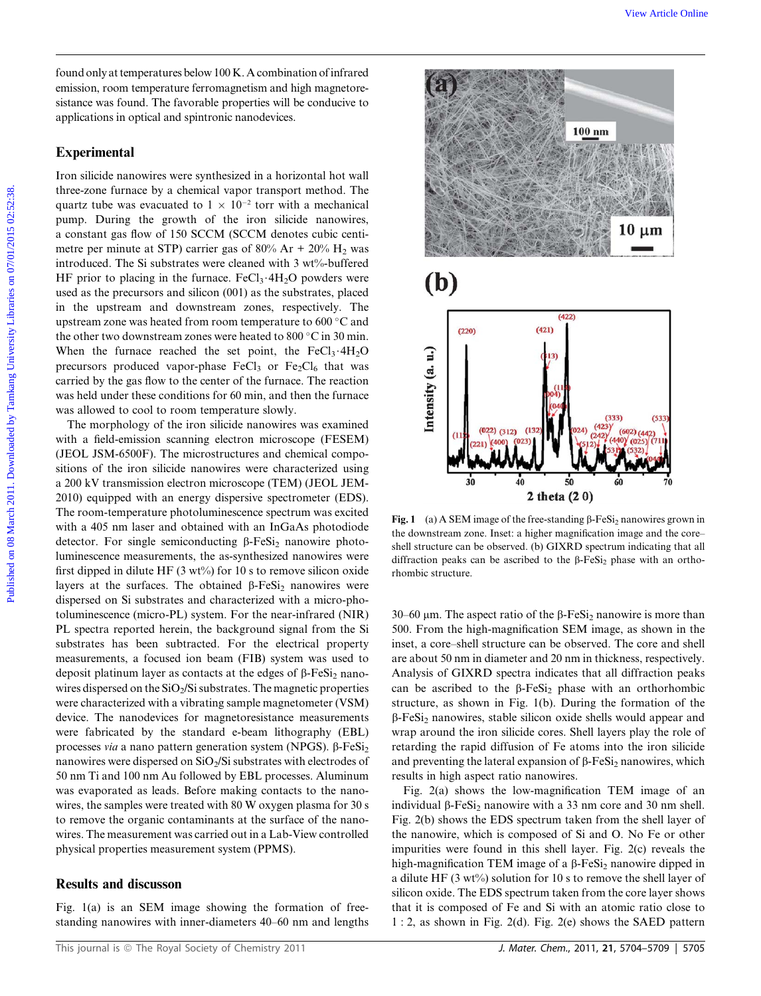found only at temperatures below 100 K. A combination of infrared emission, room temperature ferromagnetism and high magnetoresistance was found. The favorable properties will be conducive to applications in optical and spintronic nanodevices.

# Experimental

Iron silicide nanowires were synthesized in a horizontal hot wall three-zone furnace by a chemical vapor transport method. The quartz tube was evacuated to  $1 \times 10^{-2}$  torr with a mechanical pump. During the growth of the iron silicide nanowires, a constant gas flow of 150 SCCM (SCCM denotes cubic centimetre per minute at STP) carrier gas of 80% Ar + 20%  $H_2$  was introduced. The Si substrates were cleaned with 3 wt%-buffered HF prior to placing in the furnace. FeCl<sub>3</sub>  $4H<sub>2</sub>O$  powders were used as the precursors and silicon (001) as the substrates, placed in the upstream and downstream zones, respectively. The upstream zone was heated from room temperature to  $600\degree C$  and the other two downstream zones were heated to 800  $^{\circ}$ C in 30 min. When the furnace reached the set point, the  $FeCl<sub>3</sub>·4H<sub>2</sub>O$ precursors produced vapor-phase  $FeCl<sub>3</sub>$  or  $Fe<sub>2</sub>Cl<sub>6</sub>$  that was carried by the gas flow to the center of the furnace. The reaction was held under these conditions for 60 min, and then the furnace was allowed to cool to room temperature slowly.

The morphology of the iron silicide nanowires was examined with a field-emission scanning electron microscope (FESEM) (JEOL JSM-6500F). The microstructures and chemical compositions of the iron silicide nanowires were characterized using a 200 kV transmission electron microscope (TEM) (JEOL JEM-2010) equipped with an energy dispersive spectrometer (EDS). The room-temperature photoluminescence spectrum was excited with a 405 nm laser and obtained with an InGaAs photodiode detector. For single semiconducting  $\beta$ -FeSi<sub>2</sub> nanowire photoluminescence measurements, the as-synthesized nanowires were first dipped in dilute HF  $(3 wt%)$  for 10 s to remove silicon oxide layers at the surfaces. The obtained  $\beta$ -FeSi<sub>2</sub> nanowires were dispersed on Si substrates and characterized with a micro-photoluminescence (micro-PL) system. For the near-infrared (NIR) PL spectra reported herein, the background signal from the Si substrates has been subtracted. For the electrical property measurements, a focused ion beam (FIB) system was used to deposit platinum layer as contacts at the edges of  $\beta$ -FeSi<sub>2</sub> nanowires dispersed on the SiO<sub>2</sub>/Si substrates. The magnetic properties were characterized with a vibrating sample magnetometer (VSM) device. The nanodevices for magnetoresistance measurements were fabricated by the standard e-beam lithography (EBL) processes via a nano pattern generation system (NPGS).  $\beta$ -FeSi<sub>2</sub> nanowires were dispersed on SiO<sub>2</sub>/Si substrates with electrodes of 50 nm Ti and 100 nm Au followed by EBL processes. Aluminum was evaporated as leads. Before making contacts to the nanowires, the samples were treated with 80 W oxygen plasma for 30 s to remove the organic contaminants at the surface of the nanowires. The measurement was carried out in a Lab-View controlled physical properties measurement system (PPMS).

## Results and discusson

Fig. 1(a) is an SEM image showing the formation of freestanding nanowires with inner-diameters 40–60 nm and lengths



Fig. 1 (a) A SEM image of the free-standing  $\beta$ -FeSi<sub>2</sub> nanowires grown in the downstream zone. Inset: a higher magnification image and the core– shell structure can be observed. (b) GIXRD spectrum indicating that all diffraction peaks can be ascribed to the  $\beta$ -FeSi<sub>2</sub> phase with an orthorhombic structure.

30–60  $\mu$ m. The aspect ratio of the  $\beta$ -FeSi<sub>2</sub> nanowire is more than 500. From the high-magnification SEM image, as shown in the inset, a core–shell structure can be observed. The core and shell are about 50 nm in diameter and 20 nm in thickness, respectively. Analysis of GIXRD spectra indicates that all diffraction peaks can be ascribed to the  $\beta$ -FeSi<sub>2</sub> phase with an orthorhombic structure, as shown in Fig. 1(b). During the formation of the  $\beta$ -FeSi<sub>2</sub> nanowires, stable silicon oxide shells would appear and wrap around the iron silicide cores. Shell layers play the role of retarding the rapid diffusion of Fe atoms into the iron silicide and preventing the lateral expansion of  $\beta$ -FeSi<sub>2</sub> nanowires, which results in high aspect ratio nanowires.

Fig. 2(a) shows the low-magnification TEM image of an individual  $\beta$ -FeSi<sub>2</sub> nanowire with a 33 nm core and 30 nm shell. Fig. 2(b) shows the EDS spectrum taken from the shell layer of the nanowire, which is composed of Si and O. No Fe or other impurities were found in this shell layer. Fig. 2(c) reveals the high-magnification TEM image of a  $\beta$ -FeSi<sub>2</sub> nanowire dipped in a dilute HF (3 wt%) solution for 10 s to remove the shell layer of silicon oxide. The EDS spectrum taken from the core layer shows that it is composed of Fe and Si with an atomic ratio close to 1 : 2, as shown in Fig. 2(d). Fig. 2(e) shows the SAED pattern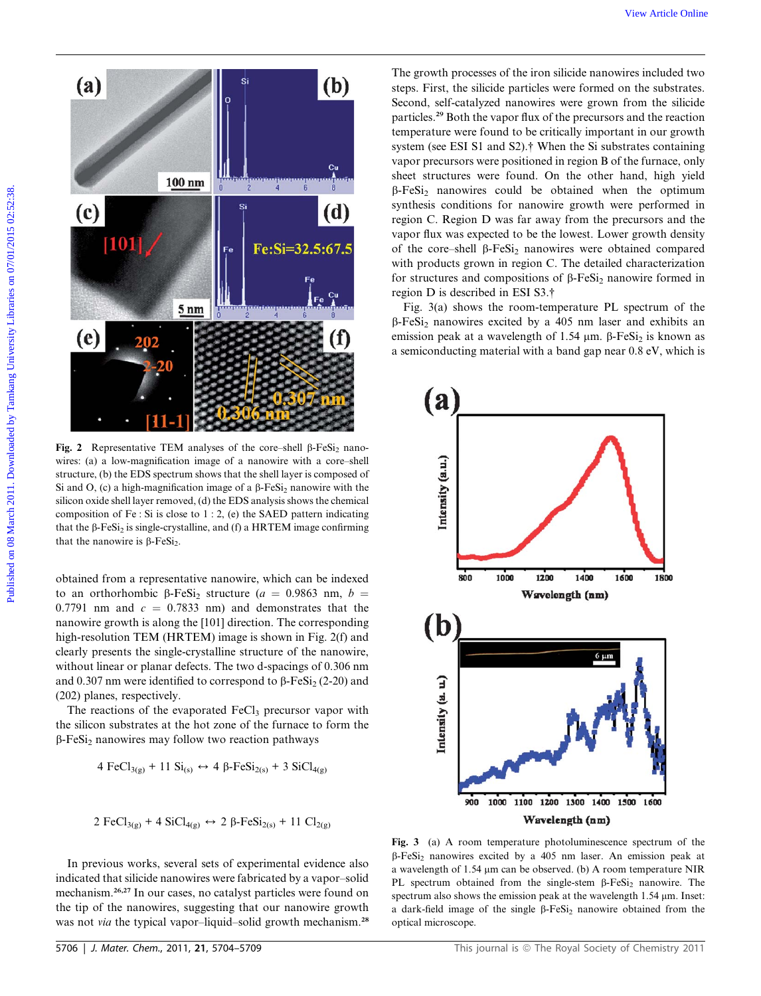

Fig. 2 Representative TEM analyses of the core–shell  $\beta$ -FeSi<sub>2</sub> nanowires: (a) a low-magnification image of a nanowire with a core–shell structure, (b) the EDS spectrum shows that the shell layer is composed of Si and O, (c) a high-magnification image of a  $\beta$ -FeSi<sub>2</sub> nanowire with the silicon oxide shell layer removed, (d) the EDS analysis shows the chemical composition of Fe : Si is close to  $1:2$ , (e) the SAED pattern indicating that the  $\beta$ -FeSi<sub>2</sub> is single-crystalline, and (f) a HRTEM image confirming that the nanowire is  $\beta$ -FeSi<sub>2</sub>.

obtained from a representative nanowire, which can be indexed to an orthorhombic  $\beta$ -FeSi<sub>2</sub> structure (a = 0.9863 nm, b = 0.7791 nm and  $c = 0.7833$  nm) and demonstrates that the nanowire growth is along the [101] direction. The corresponding high-resolution TEM (HRTEM) image is shown in Fig. 2(f) and clearly presents the single-crystalline structure of the nanowire, without linear or planar defects. The two d-spacings of 0.306 nm and 0.307 nm were identified to correspond to  $\beta$ -FeSi<sub>2</sub> (2-20) and (202) planes, respectively.

The reactions of the evaporated  $FeCl<sub>3</sub>$  precursor vapor with the silicon substrates at the hot zone of the furnace to form the  $\beta$ -FeSi<sub>2</sub> nanowires may follow two reaction pathways

4 
$$
FeCl_{3(g)} + 11 \text{ Si}_{(s)} \leftrightarrow 4 \text{ }\beta\text{-}FeSi_{2(s)} + 3 \text{ SiCl}_{4(g)}
$$

2 
$$
FeCl_{3(g)} + 4
$$
 SiCl<sub>4(g)</sub>  $\leftrightarrow$  2  $\beta$ -FeSi<sub>2(s)</sub> + 11 Cl<sub>2(g)</sub>

In previous works, several sets of experimental evidence also indicated that silicide nanowires were fabricated by a vapor–solid mechanism.26,27 In our cases, no catalyst particles were found on the tip of the nanowires, suggesting that our nanowire growth was not *via* the typical vapor–liquid–solid growth mechanism.<sup>28</sup>

The growth processes of the iron silicide nanowires included two steps. First, the silicide particles were formed on the substrates. Second, self-catalyzed nanowires were grown from the silicide particles.<sup>29</sup> Both the vapor flux of the precursors and the reaction temperature were found to be critically important in our growth system (see ESI S1 and S2).† When the Si substrates containing vapor precursors were positioned in region B of the furnace, only sheet structures were found. On the other hand, high yield  $\beta$ -FeSi<sub>2</sub> nanowires could be obtained when the optimum synthesis conditions for nanowire growth were performed in region C. Region D was far away from the precursors and the vapor flux was expected to be the lowest. Lower growth density of the core–shell  $\beta$ -FeSi<sub>2</sub> nanowires were obtained compared with products grown in region C. The detailed characterization for structures and compositions of  $\beta$ -FeSi<sub>2</sub> nanowire formed in region D is described in ESI S3.†

Fig. 3(a) shows the room-temperature PL spectrum of the  $\beta$ -FeSi<sub>2</sub> nanowires excited by a 405 nm laser and exhibits an emission peak at a wavelength of 1.54  $\mu$ m.  $\beta$ -FeSi<sub>2</sub> is known as a semiconducting material with a band gap near 0.8 eV, which is



Fig. 3 (a) A room temperature photoluminescence spectrum of the  $\beta$ -FeSi<sub>2</sub> nanowires excited by a 405 nm laser. An emission peak at a wavelength of 1.54  $\mu$ m can be observed. (b) A room temperature NIR PL spectrum obtained from the single-stem  $\beta$ -FeSi<sub>2</sub> nanowire. The spectrum also shows the emission peak at the wavelength  $1.54 \mu m$ . Inset: a dark-field image of the single  $\beta$ -FeSi<sub>2</sub> nanowire obtained from the optical microscope.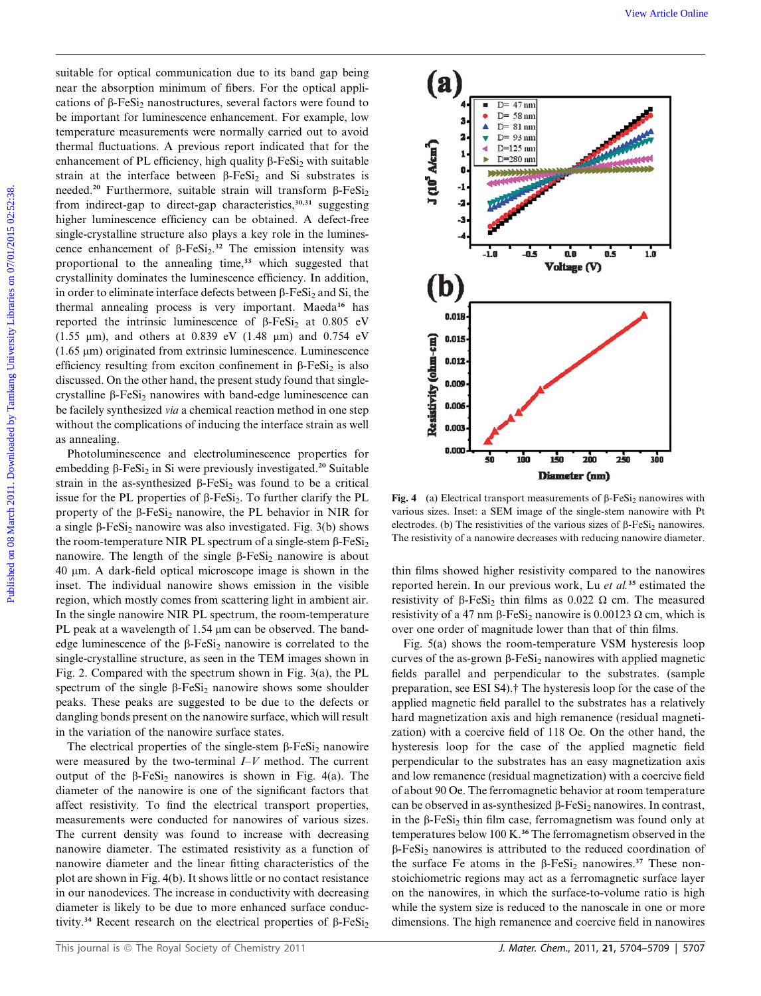suitable for optical communication due to its band gap being near the absorption minimum of fibers. For the optical applications of  $\beta$ -FeSi<sub>2</sub> nanostructures, several factors were found to be important for luminescence enhancement. For example, low temperature measurements were normally carried out to avoid thermal fluctuations. A previous report indicated that for the enhancement of PL efficiency, high quality  $\beta$ -FeSi<sub>2</sub> with suitable strain at the interface between  $\beta$ -FeSi<sub>2</sub> and Si substrates is needed.<sup>20</sup> Furthermore, suitable strain will transform  $\beta$ -FeSi<sub>2</sub> from indirect-gap to direct-gap characteristics,<sup>30,31</sup> suggesting higher luminescence efficiency can be obtained. A defect-free single-crystalline structure also plays a key role in the luminescence enhancement of  $\beta$ -FeSi<sub>2</sub>.<sup>32</sup> The emission intensity was proportional to the annealing time,<sup>33</sup> which suggested that crystallinity dominates the luminescence efficiency. In addition, in order to eliminate interface defects between  $\beta$ -FeSi<sub>2</sub> and Si, the thermal annealing process is very important. Maeda<sup>16</sup> has reported the intrinsic luminescence of  $\beta$ -FeSi<sub>2</sub> at 0.805 eV (1.55  $\mu$ m), and others at 0.839 eV (1.48  $\mu$ m) and 0.754 eV  $(1.65 \mu m)$  originated from extrinsic luminescence. Luminescence efficiency resulting from exciton confinement in  $\beta$ -FeSi<sub>2</sub> is also discussed. On the other hand, the present study found that singlecrystalline  $\beta$ -FeSi<sub>2</sub> nanowires with band-edge luminescence can be facilely synthesized via a chemical reaction method in one step without the complications of inducing the interface strain as well as annealing.

Photoluminescence and electroluminescence properties for embedding  $\beta$ -FeSi<sub>2</sub> in Si were previously investigated.<sup>20</sup> Suitable strain in the as-synthesized  $\beta$ -FeSi<sub>2</sub> was found to be a critical issue for the PL properties of  $\beta$ -FeSi<sub>2</sub>. To further clarify the PL property of the  $\beta$ -FeSi<sub>2</sub> nanowire, the PL behavior in NIR for a single  $\beta$ -FeSi<sub>2</sub> nanowire was also investigated. Fig. 3(b) shows the room-temperature NIR PL spectrum of a single-stem  $\beta$ -FeSi<sub>2</sub> nanowire. The length of the single  $\beta$ -FeSi<sub>2</sub> nanowire is about 40 mm. A dark-field optical microscope image is shown in the inset. The individual nanowire shows emission in the visible region, which mostly comes from scattering light in ambient air. In the single nanowire NIR PL spectrum, the room-temperature PL peak at a wavelength of 1.54 µm can be observed. The bandedge luminescence of the  $\beta$ -FeSi<sub>2</sub> nanowire is correlated to the single-crystalline structure, as seen in the TEM images shown in Fig. 2. Compared with the spectrum shown in Fig. 3(a), the PL spectrum of the single  $\beta$ -FeSi<sub>2</sub> nanowire shows some shoulder peaks. These peaks are suggested to be due to the defects or dangling bonds present on the nanowire surface, which will result in the variation of the nanowire surface states.

The electrical properties of the single-stem  $\beta$ -FeSi<sub>2</sub> nanowire were measured by the two-terminal  $I-V$  method. The current output of the  $\beta$ -FeSi<sub>2</sub> nanowires is shown in Fig. 4(a). The diameter of the nanowire is one of the significant factors that affect resistivity. To find the electrical transport properties, measurements were conducted for nanowires of various sizes. The current density was found to increase with decreasing nanowire diameter. The estimated resistivity as a function of nanowire diameter and the linear fitting characteristics of the plot are shown in Fig. 4(b). It shows little or no contact resistance in our nanodevices. The increase in conductivity with decreasing diameter is likely to be due to more enhanced surface conductivity.<sup>34</sup> Recent research on the electrical properties of  $\beta$ -FeSi<sub>2</sub>



Fig. 4 (a) Electrical transport measurements of  $\beta$ -FeSi<sub>2</sub> nanowires with various sizes. Inset: a SEM image of the single-stem nanowire with Pt electrodes. (b) The resistivities of the various sizes of  $\beta$ -FeSi<sub>2</sub> nanowires. The resistivity of a nanowire decreases with reducing nanowire diameter.

thin films showed higher resistivity compared to the nanowires reported herein. In our previous work, Lu et al.<sup>35</sup> estimated the resistivity of  $\beta$ -FeSi<sub>2</sub> thin films as 0.022  $\Omega$  cm. The measured resistivity of a 47 nm  $\beta$ -FeSi<sub>2</sub> nanowire is 0.00123  $\Omega$  cm, which is over one order of magnitude lower than that of thin films.

Fig. 5(a) shows the room-temperature VSM hysteresis loop curves of the as-grown  $\beta$ -FeSi<sub>2</sub> nanowires with applied magnetic fields parallel and perpendicular to the substrates. (sample preparation, see ESI S4).† The hysteresis loop for the case of the applied magnetic field parallel to the substrates has a relatively hard magnetization axis and high remanence (residual magnetization) with a coercive field of 118 Oe. On the other hand, the hysteresis loop for the case of the applied magnetic field perpendicular to the substrates has an easy magnetization axis and low remanence (residual magnetization) with a coercive field of about 90 Oe. The ferromagnetic behavior at room temperature can be observed in as-synthesized  $\beta$ -FeSi<sub>2</sub> nanowires. In contrast, in the  $\beta$ -FeSi<sub>2</sub> thin film case, ferromagnetism was found only at temperatures below 100 K.<sup>36</sup> The ferromagnetism observed in the  $\beta$ -FeSi<sub>2</sub> nanowires is attributed to the reduced coordination of the surface Fe atoms in the  $\beta$ -FeSi<sub>2</sub> nanowires.<sup>37</sup> These nonstoichiometric regions may act as a ferromagnetic surface layer on the nanowires, in which the surface-to-volume ratio is high while the system size is reduced to the nanoscale in one or more dimensions. The high remanence and coercive field in nanowires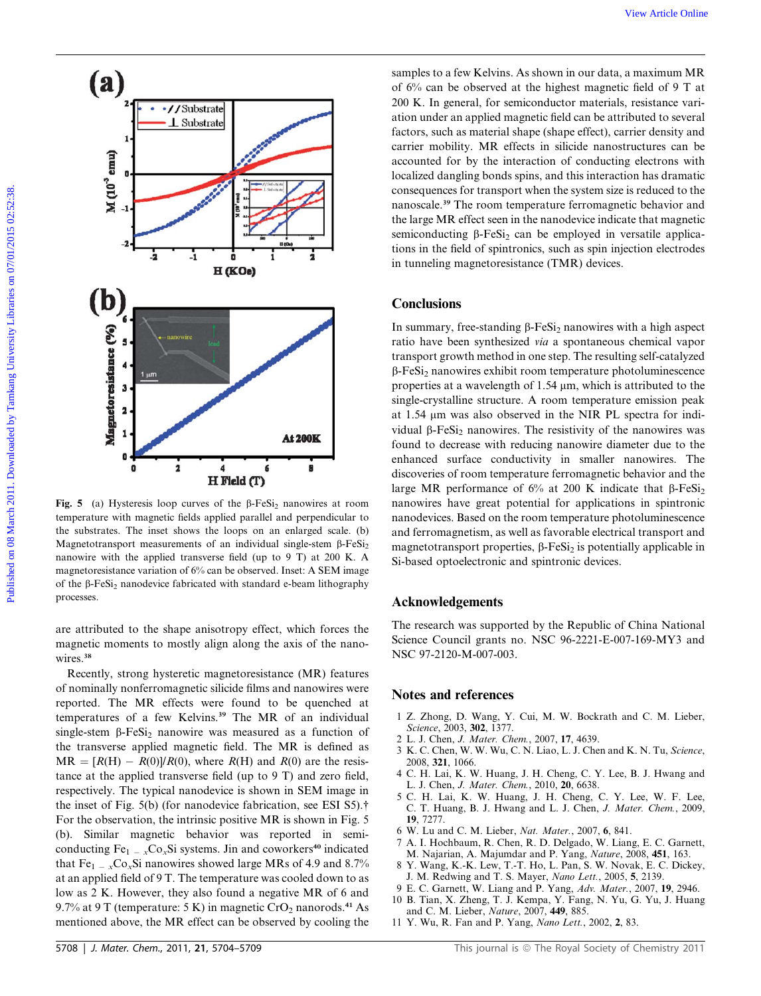

Fig. 5 (a) Hysteresis loop curves of the  $\beta$ -FeSi<sub>2</sub> nanowires at room temperature with magnetic fields applied parallel and perpendicular to the substrates. The inset shows the loops on an enlarged scale. (b) Magnetotransport measurements of an individual single-stem  $\beta$ -FeSi<sub>2</sub> nanowire with the applied transverse field (up to 9 T) at 200 K. A magnetoresistance variation of 6% can be observed. Inset: A SEM image of the  $\beta$ -FeSi<sub>2</sub> nanodevice fabricated with standard e-beam lithography processes.

are attributed to the shape anisotropy effect, which forces the magnetic moments to mostly align along the axis of the nanowires.<sup>38</sup>

Recently, strong hysteretic magnetoresistance (MR) features of nominally nonferromagnetic silicide films and nanowires were reported. The MR effects were found to be quenched at temperatures of a few Kelvins.<sup>39</sup> The MR of an individual single-stem  $\beta$ -FeSi<sub>2</sub> nanowire was measured as a function of the transverse applied magnetic field. The MR is defined as  $MR = [R(H) - R(0)]/R(0)$ , where  $R(H)$  and  $R(0)$  are the resistance at the applied transverse field (up to 9 T) and zero field, respectively. The typical nanodevice is shown in SEM image in the inset of Fig. 5(b) (for nanodevice fabrication, see ESI S5).† For the observation, the intrinsic positive MR is shown in Fig. 5 (b). Similar magnetic behavior was reported in semiconducting Fe<sub>1 – x</sub>Co<sub>x</sub>Si systems. Jin and coworkers<sup>40</sup> indicated that  $Fe<sub>1-x</sub>Co<sub>x</sub>Si$  nanowires showed large MRs of 4.9 and 8.7% at an applied field of 9 T. The temperature was cooled down to as low as 2 K. However, they also found a negative MR of 6 and 9.7% at 9 T (temperature: 5 K) in magnetic  $CrO<sub>2</sub>$  nanorods.<sup>41</sup> As mentioned above, the MR effect can be observed by cooling the

samples to a few Kelvins. As shown in our data, a maximum MR of 6% can be observed at the highest magnetic field of 9 T at 200 K. In general, for semiconductor materials, resistance variation under an applied magnetic field can be attributed to several factors, such as material shape (shape effect), carrier density and carrier mobility. MR effects in silicide nanostructures can be accounted for by the interaction of conducting electrons with localized dangling bonds spins, and this interaction has dramatic consequences for transport when the system size is reduced to the nanoscale.<sup>39</sup> The room temperature ferromagnetic behavior and the large MR effect seen in the nanodevice indicate that magnetic semiconducting  $\beta$ -FeSi<sub>2</sub> can be employed in versatile applications in the field of spintronics, such as spin injection electrodes in tunneling magnetoresistance (TMR) devices.

### **Conclusions**

In summary, free-standing  $\beta$ -FeSi<sub>2</sub> nanowires with a high aspect ratio have been synthesized via a spontaneous chemical vapor transport growth method in one step. The resulting self-catalyzed  $\beta$ -FeSi<sub>2</sub> nanowires exhibit room temperature photoluminescence properties at a wavelength of  $1.54 \mu m$ , which is attributed to the single-crystalline structure. A room temperature emission peak at 1.54 µm was also observed in the NIR PL spectra for individual  $\beta$ -FeSi<sub>2</sub> nanowires. The resistivity of the nanowires was found to decrease with reducing nanowire diameter due to the enhanced surface conductivity in smaller nanowires. The discoveries of room temperature ferromagnetic behavior and the large MR performance of  $6\%$  at 200 K indicate that  $\beta$ -FeSi<sub>2</sub> nanowires have great potential for applications in spintronic nanodevices. Based on the room temperature photoluminescence and ferromagnetism, as well as favorable electrical transport and magnetotransport properties,  $\beta$ -FeSi<sub>2</sub> is potentially applicable in Si-based optoelectronic and spintronic devices.

#### Acknowledgements

The research was supported by the Republic of China National Science Council grants no. NSC 96-2221-E-007-169-MY3 and NSC 97-2120-M-007-003.

#### Notes and references

- 1 Z. Zhong, D. Wang, Y. Cui, M. W. Bockrath and C. M. Lieber, Science, 2003, 302, 1377.
- 2 L. J. Chen, J. Mater. Chem., 2007, 17, 4639.
- 3 K. C. Chen, W. W. Wu, C. N. Liao, L. J. Chen and K. N. Tu, Science, 2008, 321, 1066.
- 4 C. H. Lai, K. W. Huang, J. H. Cheng, C. Y. Lee, B. J. Hwang and L. J. Chen, *J. Mater. Chem.*, 2010, **20**, 6638.<br>5 C. H. Lai, K. W. Huang, J. H. Cheng,
- H. Lai, K. W. Huang, J. H. Cheng, C. Y. Lee, W. F. Lee, C. T. Huang, B. J. Hwang and L. J. Chen, J. Mater. Chem., 2009, 19, 7277.
- 6 W. Lu and C. M. Lieber, *Nat. Mater.*, 2007, 6, 841.<br>7 A. I. Hochbaum. R. Chen. R. D. Delgado. W. Lian.
- 7 A. I. Hochbaum, R. Chen, R. D. Delgado, W. Liang, E. C. Garnett, M. Najarian, A. Majumdar and P. Yang, Nature, 2008, 451, 163.
- 8 Y. Wang, K.-K. Lew, T.-T. Ho, L. Pan, S. W. Novak, E. C. Dickey, J. M. Redwing and T. S. Mayer, Nano Lett., 2005, 5, 2139.
- 9 E. C. Garnett, W. Liang and P. Yang, Adv. Mater., 2007, 19, 2946.
- 10 B. Tian, X. Zheng, T. J. Kempa, Y. Fang, N. Yu, G. Yu, J. Huang and C. M. Lieber, Nature, 2007, 449, 885.
- 11 Y. Wu, R. Fan and P. Yang, Nano Lett., 2002, 2, 83.